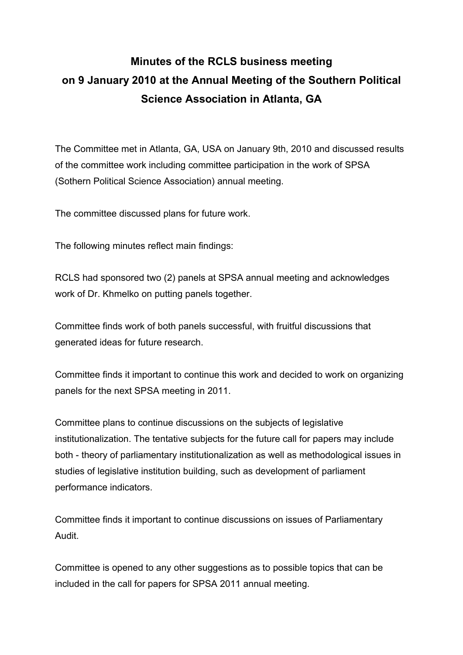## **Minutes of the RCLS business meeting on 9 January 2010 at the Annual Meeting of the Southern Political Science Association in Atlanta, GA**

The Committee met in Atlanta, GA, USA on January 9th, 2010 and discussed results of the committee work including committee participation in the work of SPSA (Sothern Political Science Association) annual meeting.

The committee discussed plans for future work.

The following minutes reflect main findings:

RCLS had sponsored two (2) panels at SPSA annual meeting and acknowledges work of Dr. Khmelko on putting panels together.

Committee finds work of both panels successful, with fruitful discussions that generated ideas for future research.

Committee finds it important to continue this work and decided to work on organizing panels for the next SPSA meeting in 2011.

Committee plans to continue discussions on the subjects of legislative institutionalization. The tentative subjects for the future call for papers may include both - theory of parliamentary institutionalization as well as methodological issues in studies of legislative institution building, such as development of parliament performance indicators.

Committee finds it important to continue discussions on issues of Parliamentary Audit.

Committee is opened to any other suggestions as to possible topics that can be included in the call for papers for SPSA 2011 annual meeting.